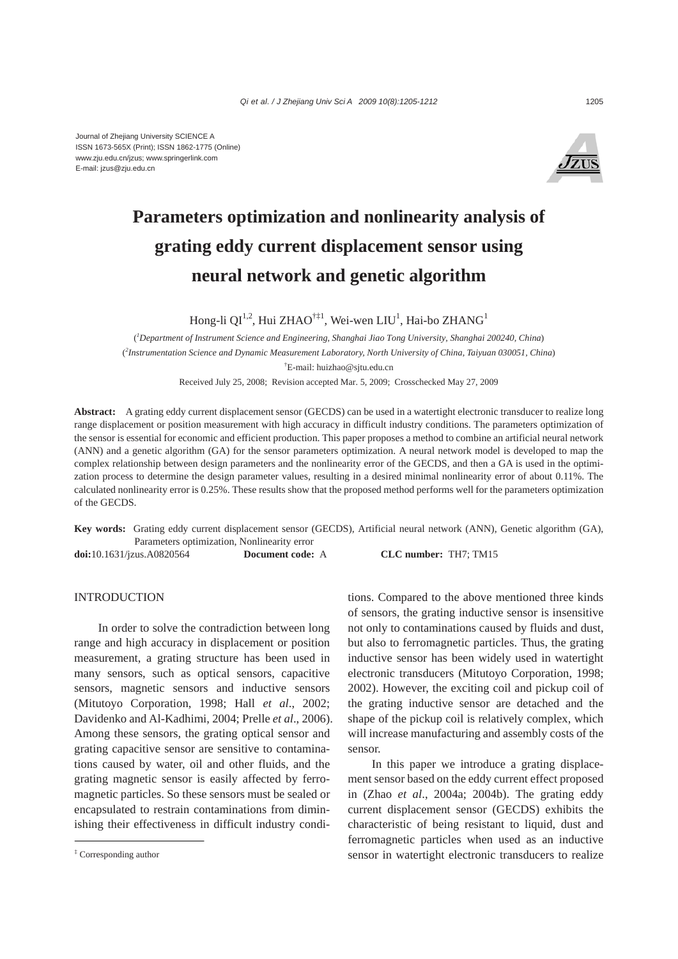

# **Parameters optimization and nonlinearity analysis of grating eddy current displacement sensor using neural network and genetic algorithm**

Hong-li QI<sup>1,2</sup>, Hui ZHAO<sup>†‡1</sup>, Wei-wen LIU<sup>1</sup>, Hai-bo ZHANG<sup>1</sup>

( *1 Department of Instrument Science and Engineering, Shanghai Jiao Tong University, Shanghai 200240, China*) ( *2 Instrumentation Science and Dynamic Measurement Laboratory, North University of China, Taiyuan 030051, China*) † E-mail: huizhao@sjtu.edu.cn

Received July 25, 2008; Revision accepted Mar. 5, 2009; Crosschecked May 27, 2009

**Abstract:** A grating eddy current displacement sensor (GECDS) can be used in a watertight electronic transducer to realize long range displacement or position measurement with high accuracy in difficult industry conditions. The parameters optimization of the sensor is essential for economic and efficient production. This paper proposes a method to combine an artificial neural network (ANN) and a genetic algorithm (GA) for the sensor parameters optimization. A neural network model is developed to map the complex relationship between design parameters and the nonlinearity error of the GECDS, and then a GA is used in the optimization process to determine the design parameter values, resulting in a desired minimal nonlinearity error of about 0.11%. The calculated nonlinearity error is 0.25%. These results show that the proposed method performs well for the parameters optimization of the GECDS.

**Key words:** Grating eddy current displacement sensor (GECDS), Artificial neural network (ANN), Genetic algorithm (GA), Parameters optimization, Nonlinearity error **doi:**10.1631/jzus.A0820564 **Document code:** A **CLC number:** TH7; TM15

## **INTRODUCTION**

In order to solve the contradiction between long range and high accuracy in displacement or position measurement, a grating structure has been used in many sensors, such as optical sensors, capacitive sensors, magnetic sensors and inductive sensors (Mitutoyo Corporation, 1998; Hall *et al*., 2002; Davidenko and Al-Kadhimi, 2004; Prelle *et al*., 2006). Among these sensors, the grating optical sensor and grating capacitive sensor are sensitive to contaminations caused by water, oil and other fluids, and the grating magnetic sensor is easily affected by ferromagnetic particles. So these sensors must be sealed or encapsulated to restrain contaminations from diminishing their effectiveness in difficult industry conditions. Compared to the above mentioned three kinds of sensors, the grating inductive sensor is insensitive not only to contaminations caused by fluids and dust, but also to ferromagnetic particles. Thus, the grating inductive sensor has been widely used in watertight electronic transducers (Mitutoyo Corporation, 1998; 2002). However, the exciting coil and pickup coil of the grating inductive sensor are detached and the shape of the pickup coil is relatively complex, which will increase manufacturing and assembly costs of the sensor.

In this paper we introduce a grating displacement sensor based on the eddy current effect proposed in (Zhao *et al*., 2004a; 2004b). The grating eddy current displacement sensor (GECDS) exhibits the characteristic of being resistant to liquid, dust and ferromagnetic particles when used as an inductive sensor in watertight electronic transducers to realize

<sup>‡</sup> Corresponding author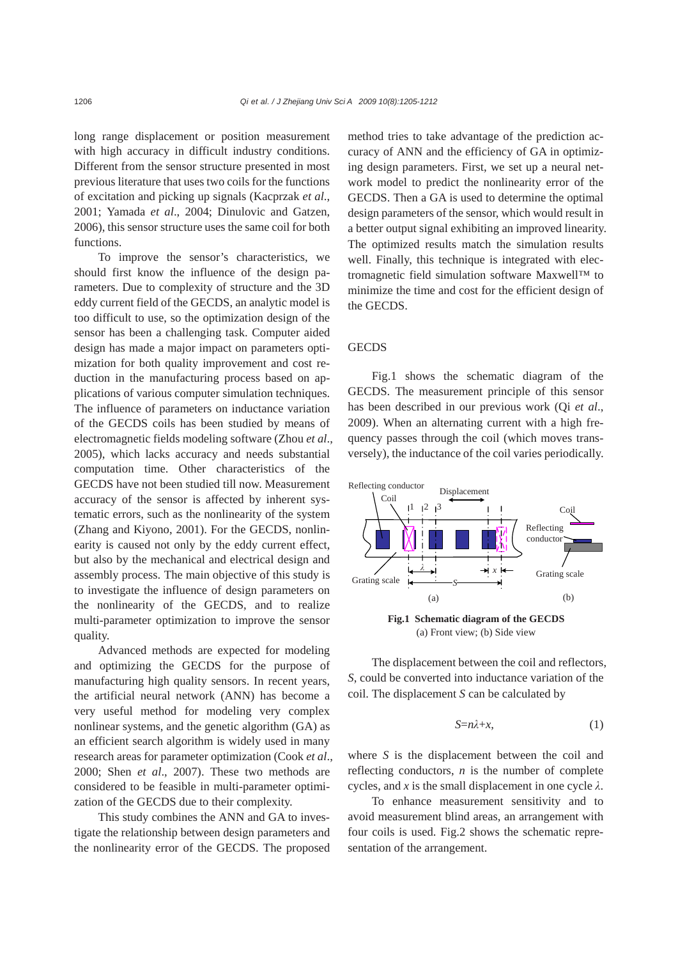long range displacement or position measurement with high accuracy in difficult industry conditions. Different from the sensor structure presented in most previous literature that uses two coils for the functions of excitation and picking up signals (Kacprzak *et al*., 2001; Yamada *et al*., 2004; Dinulovic and Gatzen, 2006), this sensor structure uses the same coil for both functions.

To improve the sensor's characteristics, we should first know the influence of the design parameters. Due to complexity of structure and the 3D eddy current field of the GECDS, an analytic model is too difficult to use, so the optimization design of the sensor has been a challenging task. Computer aided design has made a major impact on parameters optimization for both quality improvement and cost reduction in the manufacturing process based on applications of various computer simulation techniques. The influence of parameters on inductance variation of the GECDS coils has been studied by means of electromagnetic fields modeling software (Zhou *et al*., 2005), which lacks accuracy and needs substantial computation time. Other characteristics of the GECDS have not been studied till now. Measurement accuracy of the sensor is affected by inherent systematic errors, such as the nonlinearity of the system (Zhang and Kiyono, 2001). For the GECDS, nonlinearity is caused not only by the eddy current effect, but also by the mechanical and electrical design and assembly process. The main objective of this study is to investigate the influence of design parameters on the nonlinearity of the GECDS, and to realize multi-parameter optimization to improve the sensor quality.

Advanced methods are expected for modeling and optimizing the GECDS for the purpose of manufacturing high quality sensors. In recent years, the artificial neural network (ANN) has become a very useful method for modeling very complex nonlinear systems, and the genetic algorithm (GA) as an efficient search algorithm is widely used in many research areas for parameter optimization (Cook *et al*., 2000; Shen *et al*., 2007). These two methods are considered to be feasible in multi-parameter optimization of the GECDS due to their complexity.

This study combines the ANN and GA to investigate the relationship between design parameters and the nonlinearity error of the GECDS. The proposed method tries to take advantage of the prediction accuracy of ANN and the efficiency of GA in optimizing design parameters. First, we set up a neural network model to predict the nonlinearity error of the GECDS. Then a GA is used to determine the optimal design parameters of the sensor, which would result in a better output signal exhibiting an improved linearity. The optimized results match the simulation results well. Finally, this technique is integrated with electromagnetic field simulation software Maxwell™ to minimize the time and cost for the efficient design of the GECDS.

#### **GECDS**

Fig.1 shows the schematic diagram of the GECDS. The measurement principle of this sensor has been described in our previous work (Qi *et al*., 2009). When an alternating current with a high frequency passes through the coil (which moves transversely), the inductance of the coil varies periodically.



(a) Front view; (b) Side view

The displacement between the coil and reflectors, *S*, could be converted into inductance variation of the coil. The displacement *S* can be calculated by

$$
S = n\lambda + x,\tag{1}
$$

where *S* is the displacement between the coil and reflecting conductors, *n* is the number of complete cycles, and *x* is the small displacement in one cycle *λ*.

To enhance measurement sensitivity and to avoid measurement blind areas, an arrangement with four coils is used. Fig.2 shows the schematic representation of the arrangement.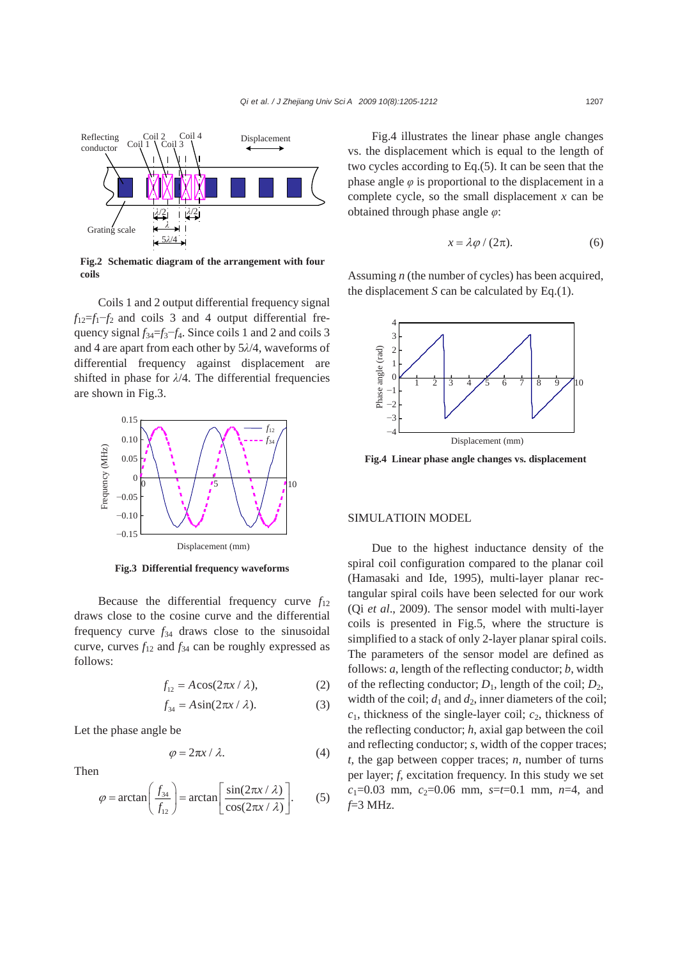

**Fig.2 Schematic diagram of the arrangement with four coils** 

Coils 1 and 2 output differential frequency signal  $f_{12}=f_1-f_2$  and coils 3 and 4 output differential frequency signal *f*34=*f*3−*f*4. Since coils 1 and 2 and coils 3 and 4 are apart from each other by 5*λ*/4, waveforms of differential frequency against displacement are shifted in phase for  $\lambda$ /4. The differential frequencies are shown in Fig.3.



**Fig.3 Differential frequency waveforms**

Because the differential frequency curve  $f_{12}$ draws close to the cosine curve and the differential frequency curve  $f_{34}$  draws close to the sinusoidal curve, curves  $f_{12}$  and  $f_{34}$  can be roughly expressed as follows:

$$
f_{12} = A\cos(2\pi x/\lambda),\tag{2}
$$

$$
f_{34} = A\sin(2\pi x/\lambda). \tag{3}
$$

Let the phase angle be

$$
\varphi = 2\pi x / \lambda. \tag{4}
$$

Then

$$
\varphi = \arctan\bigg(\frac{f_{34}}{f_{12}}\bigg) = \arctan\bigg[\frac{\sin(2\pi x/\lambda)}{\cos(2\pi x/\lambda)}\bigg].
$$
 (5)

Fig.4 illustrates the linear phase angle changes vs. the displacement which is equal to the length of two cycles according to Eq.(5). It can be seen that the phase angle *φ* is proportional to the displacement in a complete cycle, so the small displacement *x* can be obtained through phase angle *φ*:

$$
x = \lambda \varphi / (2\pi). \tag{6}
$$

Assuming *n* (the number of cycles) has been acquired, the displacement *S* can be calculated by Eq.(1).



## SIMULATIOIN MODEL

Due to the highest inductance density of the spiral coil configuration compared to the planar coil (Hamasaki and Ide, 1995), multi-layer planar rectangular spiral coils have been selected for our work (Qi *et al*., 2009). The sensor model with multi-layer coils is presented in Fig.5, where the structure is simplified to a stack of only 2-layer planar spiral coils. The parameters of the sensor model are defined as follows: *a*, length of the reflecting conductor; *b*, width of the reflecting conductor;  $D_1$ , length of the coil;  $D_2$ , width of the coil;  $d_1$  and  $d_2$ , inner diameters of the coil;  $c_1$ , thickness of the single-layer coil;  $c_2$ , thickness of the reflecting conductor; *h*, axial gap between the coil and reflecting conductor; *s*, width of the copper traces; *t*, the gap between copper traces; *n*, number of turns per layer; *f*, excitation frequency. In this study we set  $c_1=0.03$  mm,  $c_2=0.06$  mm,  $s=t=0.1$  mm,  $n=4$ , and *f*=3 MHz.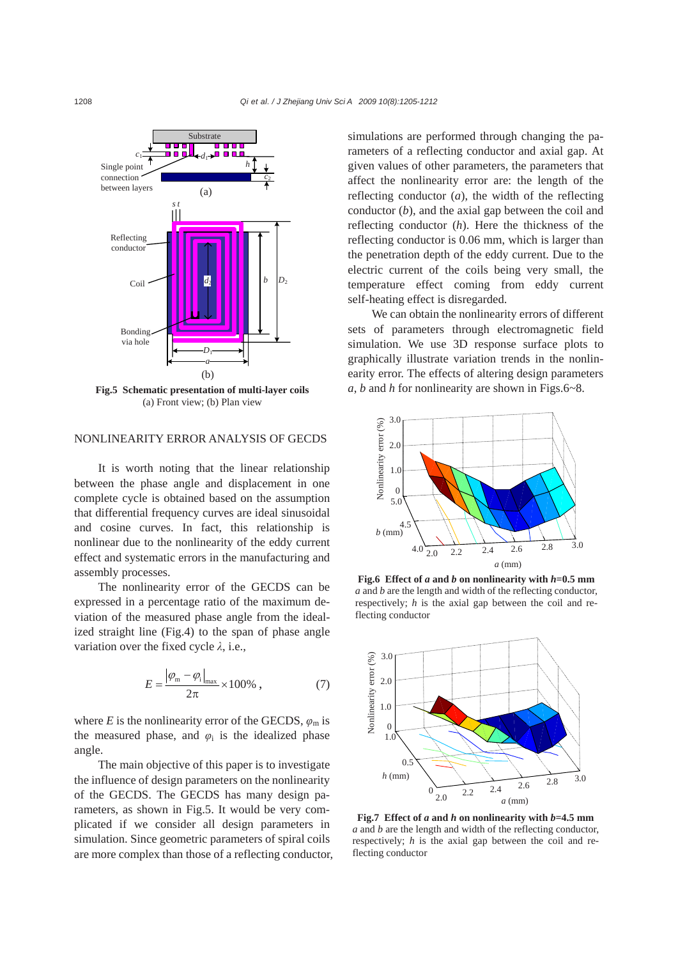

(a) Front view; (b) Plan view

# NONLINEARITY ERROR ANALYSIS OF GECDS

It is worth noting that the linear relationship between the phase angle and displacement in one complete cycle is obtained based on the assumption that differential frequency curves are ideal sinusoidal and cosine curves. In fact, this relationship is nonlinear due to the nonlinearity of the eddy current effect and systematic errors in the manufacturing and assembly processes.

The nonlinearity error of the GECDS can be expressed in a percentage ratio of the maximum deviation of the measured phase angle from the idealized straight line (Fig.4) to the span of phase angle variation over the fixed cycle *λ*, i.e.,

$$
E = \frac{\left|\varphi_{\rm m} - \varphi_{\rm i}\right|_{\rm max}}{2\pi} \times 100\%,\qquad(7)
$$

where *E* is the nonlinearity error of the GECDS,  $\varphi_m$  is the measured phase, and  $\varphi_i$  is the idealized phase angle.

The main objective of this paper is to investigate the influence of design parameters on the nonlinearity of the GECDS. The GECDS has many design parameters, as shown in Fig.5. It would be very complicated if we consider all design parameters in simulation. Since geometric parameters of spiral coils are more complex than those of a reflecting conductor, simulations are performed through changing the parameters of a reflecting conductor and axial gap. At given values of other parameters, the parameters that affect the nonlinearity error are: the length of the reflecting conductor (*a*), the width of the reflecting conductor (*b*), and the axial gap between the coil and reflecting conductor (*h*). Here the thickness of the reflecting conductor is 0.06 mm, which is larger than the penetration depth of the eddy current. Due to the electric current of the coils being very small, the temperature effect coming from eddy current self-heating effect is disregarded.

We can obtain the nonlinearity errors of different sets of parameters through electromagnetic field simulation. We use 3D response surface plots to graphically illustrate variation trends in the nonlinearity error. The effects of altering design parameters **Fig.5 Schematic presentation of multi-layer coils** *a*, *b* and *h* for nonlinearity are shown in Figs.6~8.



**Fig.6 Effect of** *a* **and** *b* **on nonlinearity with** *h***=0.5 mm** *a* and *b* are the length and width of the reflecting conductor, respectively; *h* is the axial gap between the coil and reflecting conductor



**Fig.7 Effect of** *a* **and** *h* **on nonlinearity with** *b***=4.5 mm** *a* and *b* are the length and width of the reflecting conductor, respectively; *h* is the axial gap between the coil and reflecting conductor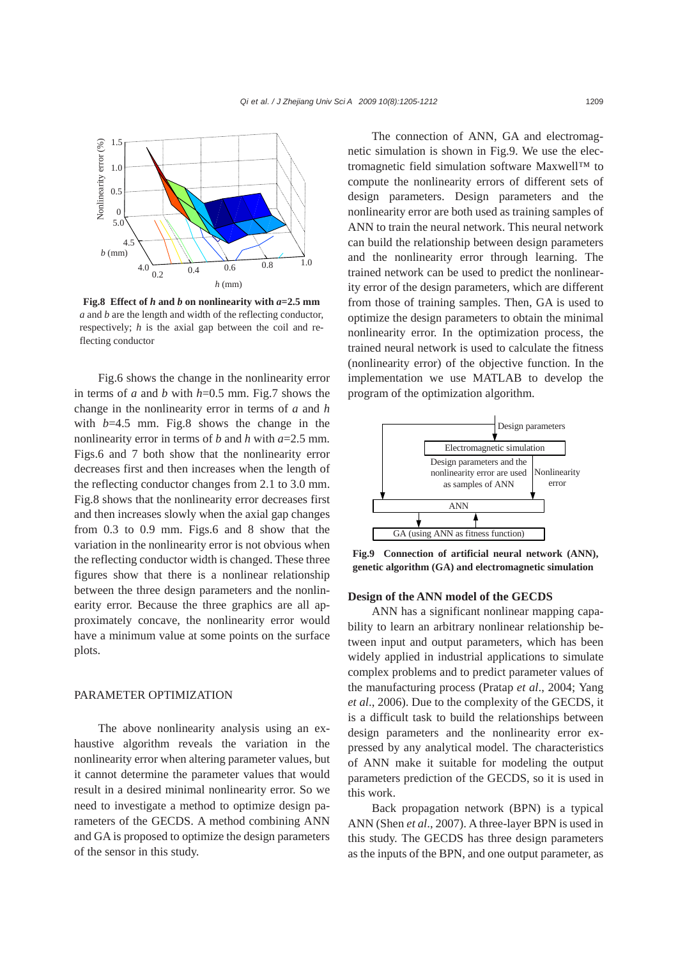

**Fig.8 Effect of** *h* **and** *b* **on nonlinearity with** *a***=2.5 mm** *a* and *b* are the length and width of the reflecting conductor, respectively; *h* is the axial gap between the coil and re-

Fig.6 shows the change in the nonlinearity error in terms of *a* and *b* with  $h=0.5$  mm. Fig.7 shows the change in the nonlinearity error in terms of *a* and *h* with *b*=4.5 mm. Fig.8 shows the change in the nonlinearity error in terms of *b* and *h* with *a*=2.5 mm. Figs.6 and 7 both show that the nonlinearity error decreases first and then increases when the length of the reflecting conductor changes from 2.1 to 3.0 mm. Fig.8 shows that the nonlinearity error decreases first and then increases slowly when the axial gap changes from 0.3 to 0.9 mm. Figs.6 and 8 show that the variation in the nonlinearity error is not obvious when the reflecting conductor width is changed. These three figures show that there is a nonlinear relationship between the three design parameters and the nonlinearity error. Because the three graphics are all approximately concave, the nonlinearity error would have a minimum value at some points on the surface plots.

# PARAMETER OPTIMIZATION

The above nonlinearity analysis using an exhaustive algorithm reveals the variation in the nonlinearity error when altering parameter values, but it cannot determine the parameter values that would result in a desired minimal nonlinearity error. So we need to investigate a method to optimize design parameters of the GECDS. A method combining ANN and GA is proposed to optimize the design parameters of the sensor in this study.

The connection of ANN, GA and electromagnetic simulation is shown in Fig.9. We use the electromagnetic field simulation software Maxwell™ to compute the nonlinearity errors of different sets of design parameters. Design parameters and the nonlinearity error are both used as training samples of ANN to train the neural network. This neural network can build the relationship between design parameters and the nonlinearity error through learning. The trained network can be used to predict the nonlinearity error of the design parameters, which are different from those of training samples. Then, GA is used to optimize the design parameters to obtain the minimal nonlinearity error. In the optimization process, the trained neural network is used to calculate the fitness (nonlinearity error) of the objective function. In the implementation we use MATLAB to develop the program of the optimization algorithm.



**Fig.9 Connection of artificial neural network (ANN), genetic algorithm (GA) and electromagnetic simulation**

#### **Design of the ANN model of the GECDS**

ANN has a significant nonlinear mapping capability to learn an arbitrary nonlinear relationship between input and output parameters, which has been widely applied in industrial applications to simulate complex problems and to predict parameter values of the manufacturing process (Pratap *et al*., 2004; Yang *et al*., 2006). Due to the complexity of the GECDS, it is a difficult task to build the relationships between design parameters and the nonlinearity error expressed by any analytical model. The characteristics of ANN make it suitable for modeling the output parameters prediction of the GECDS, so it is used in this work.

Back propagation network (BPN) is a typical ANN (Shen *et al*., 2007). A three-layer BPN is used in this study. The GECDS has three design parameters as the inputs of the BPN, and one output parameter, as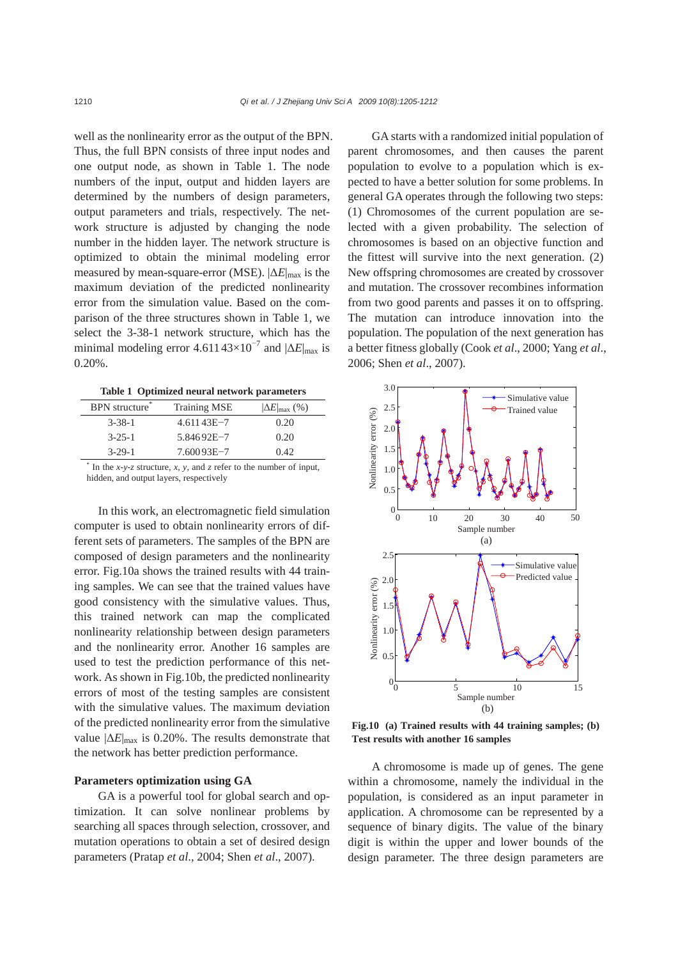well as the nonlinearity error as the output of the BPN. Thus, the full BPN consists of three input nodes and one output node, as shown in Table 1. The node numbers of the input, output and hidden layers are determined by the numbers of design parameters, output parameters and trials, respectively. The network structure is adjusted by changing the node number in the hidden layer. The network structure is optimized to obtain the minimal modeling error measured by mean-square-error (MSE). |Δ*E*|max is the maximum deviation of the predicted nonlinearity error from the simulation value. Based on the comparison of the three structures shown in Table 1, we select the 3-38-1 network structure, which has the minimal modeling error  $4.61143 \times 10^{-7}$  and  $|\Delta E|_{\text{max}}$  is 0.20%.

**Table 1 Optimized neural network parameters**

| BPN structure | <b>Training MSE</b> | $ \Delta E _{\rm max}$ (%) |
|---------------|---------------------|----------------------------|
| $3 - 38 - 1$  | $4.61143E - 7$      | 0.20                       |
| $3 - 25 - 1$  | 5.84692E-7          | 0.20                       |
| $3 - 29 - 1$  | $7.60093E - 7$      | 0.42                       |

\* In the *x*-*y*-*z* structure, *x*, *y*, and *z* refer to the number of input, hidden, and output layers, respectively

In this work, an electromagnetic field simulation computer is used to obtain nonlinearity errors of different sets of parameters. The samples of the BPN are composed of design parameters and the nonlinearity error. Fig.10a shows the trained results with 44 training samples. We can see that the trained values have good consistency with the simulative values. Thus, this trained network can map the complicated nonlinearity relationship between design parameters and the nonlinearity error. Another 16 samples are used to test the prediction performance of this network. As shown in Fig.10b, the predicted nonlinearity errors of most of the testing samples are consistent with the simulative values. The maximum deviation of the predicted nonlinearity error from the simulative value  $|\Delta E|_{\text{max}}$  is 0.20%. The results demonstrate that the network has better prediction performance.

# **Parameters optimization using GA**

GA is a powerful tool for global search and optimization. It can solve nonlinear problems by searching all spaces through selection, crossover, and mutation operations to obtain a set of desired design parameters (Pratap *et al*., 2004; Shen *et al*., 2007).

GA starts with a randomized initial population of parent chromosomes, and then causes the parent population to evolve to a population which is expected to have a better solution for some problems. In general GA operates through the following two steps: (1) Chromosomes of the current population are selected with a given probability. The selection of chromosomes is based on an objective function and the fittest will survive into the next generation. (2) New offspring chromosomes are created by crossover and mutation. The crossover recombines information from two good parents and passes it on to offspring. The mutation can introduce innovation into the population. The population of the next generation has a better fitness globally (Cook *et al*., 2000; Yang *et al*., 2006; Shen *et al*., 2007).



**Fig.10 (a) Trained results with 44 training samples; (b) Test results with another 16 samples** 

A chromosome is made up of genes. The gene within a chromosome, namely the individual in the population, is considered as an input parameter in application. A chromosome can be represented by a sequence of binary digits. The value of the binary digit is within the upper and lower bounds of the design parameter. The three design parameters are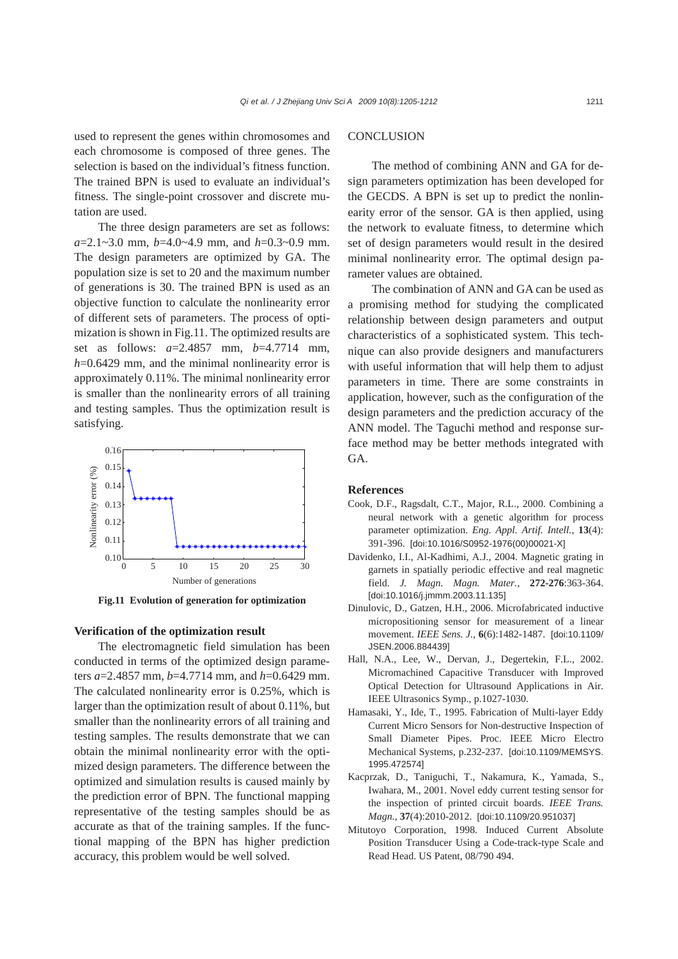used to represent the genes within chromosomes and each chromosome is composed of three genes. The selection is based on the individual's fitness function. The trained BPN is used to evaluate an individual's fitness. The single-point crossover and discrete mutation are used.

The three design parameters are set as follows: *a*=2.1~3.0 mm, *b*=4.0~4.9 mm, and *h*=0.3~0.9 mm. The design parameters are optimized by GA. The population size is set to 20 and the maximum number of generations is 30. The trained BPN is used as an objective function to calculate the nonlinearity error of different sets of parameters. The process of optimization is shown in Fig.11. The optimized results are set as follows: *a*=2.4857 mm, *b*=4.7714 mm, *h*=0.6429 mm, and the minimal nonlinearity error is approximately 0.11%. The minimal nonlinearity error is smaller than the nonlinearity errors of all training and testing samples. Thus the optimization result is satisfying.



**Fig.11 Evolution of generation for optimization**

### **Verification of the optimization result**

The electromagnetic field simulation has been conducted in terms of the optimized design parameters *a*=2.4857 mm, *b*=4.7714 mm, and *h*=0.6429 mm. The calculated nonlinearity error is 0.25%, which is larger than the optimization result of about 0.11%, but smaller than the nonlinearity errors of all training and testing samples. The results demonstrate that we can obtain the minimal nonlinearity error with the optimized design parameters. The difference between the optimized and simulation results is caused mainly by the prediction error of BPN. The functional mapping representative of the testing samples should be as accurate as that of the training samples. If the functional mapping of the BPN has higher prediction accuracy, this problem would be well solved.

## **CONCLUSION**

The method of combining ANN and GA for design parameters optimization has been developed for the GECDS. A BPN is set up to predict the nonlinearity error of the sensor. GA is then applied, using the network to evaluate fitness, to determine which set of design parameters would result in the desired minimal nonlinearity error. The optimal design parameter values are obtained.

The combination of ANN and GA can be used as a promising method for studying the complicated relationship between design parameters and output characteristics of a sophisticated system. This technique can also provide designers and manufacturers with useful information that will help them to adjust parameters in time. There are some constraints in application, however, such as the configuration of the design parameters and the prediction accuracy of the ANN model. The Taguchi method and response surface method may be better methods integrated with GA.

#### **References**

- Cook, D.F., Ragsdalt, C.T., Major, R.L., 2000. Combining a neural network with a genetic algorithm for process parameter optimization. *Eng. Appl. Artif. Intell.*, **13**(4): 391-396. [doi:10.1016/S0952-1976(00)00021-X]
- Davidenko, I.I., Al-Kadhimi, A.J., 2004. Magnetic grating in garnets in spatially periodic effective and real magnetic field. *J. Magn. Magn. Mater.*, **272-276**:363-364. [doi:10.1016/j.jmmm.2003.11.135]
- Dinulovic, D., Gatzen, H.H., 2006. Microfabricated inductive micropositioning sensor for measurement of a linear movement. *IEEE Sens. J.*, **6**(6):1482-1487. [doi:10.1109/ JSEN.2006.884439]
- Hall, N.A., Lee, W., Dervan, J., Degertekin, F.L., 2002. Micromachined Capacitive Transducer with Improved Optical Detection for Ultrasound Applications in Air. IEEE Ultrasonics Symp., p.1027-1030.
- Hamasaki, Y., Ide, T., 1995. Fabrication of Multi-layer Eddy Current Micro Sensors for Non-destructive Inspection of Small Diameter Pipes. Proc. IEEE Micro Electro Mechanical Systems, p.232-237. [doi:10.1109/MEMSYS. 1995.472574]
- Kacprzak, D., Taniguchi, T., Nakamura, K., Yamada, S., Iwahara, M., 2001. Novel eddy current testing sensor for the inspection of printed circuit boards. *IEEE Trans. Magn.*, **37**(4):2010-2012. [doi:10.1109/20.951037]
- Mitutoyo Corporation, 1998. Induced Current Absolute Position Transducer Using a Code-track-type Scale and Read Head. US Patent, 08/790 494.